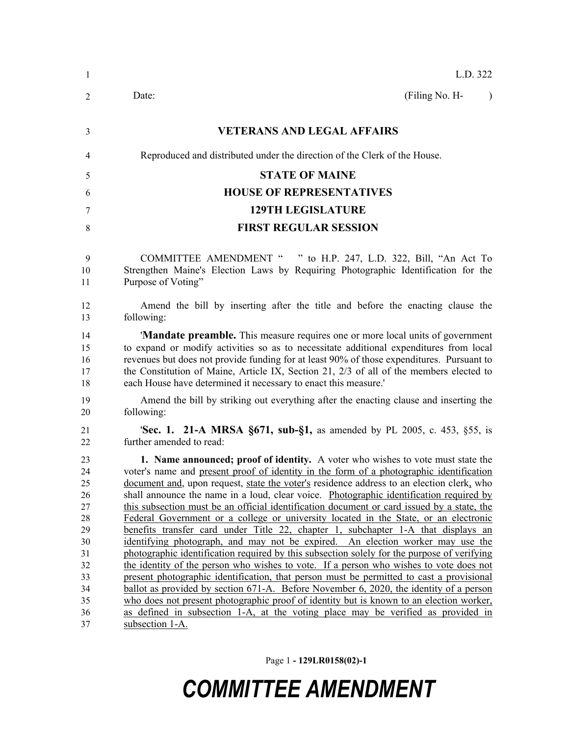| -1                                                                                     | L.D. 322                                                                                                                                                                                                                                                                                                                                                                                                                                                                                                                                                                                                                                                                                                                                                                                                                                                                                                                                                                                                                                                                                                                                                                                                                                                                                                         |  |  |
|----------------------------------------------------------------------------------------|------------------------------------------------------------------------------------------------------------------------------------------------------------------------------------------------------------------------------------------------------------------------------------------------------------------------------------------------------------------------------------------------------------------------------------------------------------------------------------------------------------------------------------------------------------------------------------------------------------------------------------------------------------------------------------------------------------------------------------------------------------------------------------------------------------------------------------------------------------------------------------------------------------------------------------------------------------------------------------------------------------------------------------------------------------------------------------------------------------------------------------------------------------------------------------------------------------------------------------------------------------------------------------------------------------------|--|--|
| 2                                                                                      | (Filing No. H-<br>Date:<br>$\lambda$                                                                                                                                                                                                                                                                                                                                                                                                                                                                                                                                                                                                                                                                                                                                                                                                                                                                                                                                                                                                                                                                                                                                                                                                                                                                             |  |  |
| 3                                                                                      | <b>VETERANS AND LEGAL AFFAIRS</b>                                                                                                                                                                                                                                                                                                                                                                                                                                                                                                                                                                                                                                                                                                                                                                                                                                                                                                                                                                                                                                                                                                                                                                                                                                                                                |  |  |
| 4                                                                                      | Reproduced and distributed under the direction of the Clerk of the House.                                                                                                                                                                                                                                                                                                                                                                                                                                                                                                                                                                                                                                                                                                                                                                                                                                                                                                                                                                                                                                                                                                                                                                                                                                        |  |  |
| 5                                                                                      | <b>STATE OF MAINE</b>                                                                                                                                                                                                                                                                                                                                                                                                                                                                                                                                                                                                                                                                                                                                                                                                                                                                                                                                                                                                                                                                                                                                                                                                                                                                                            |  |  |
| 6                                                                                      | <b>HOUSE OF REPRESENTATIVES</b>                                                                                                                                                                                                                                                                                                                                                                                                                                                                                                                                                                                                                                                                                                                                                                                                                                                                                                                                                                                                                                                                                                                                                                                                                                                                                  |  |  |
| 7                                                                                      | <b>129TH LEGISLATURE</b>                                                                                                                                                                                                                                                                                                                                                                                                                                                                                                                                                                                                                                                                                                                                                                                                                                                                                                                                                                                                                                                                                                                                                                                                                                                                                         |  |  |
| 8                                                                                      | <b>FIRST REGULAR SESSION</b>                                                                                                                                                                                                                                                                                                                                                                                                                                                                                                                                                                                                                                                                                                                                                                                                                                                                                                                                                                                                                                                                                                                                                                                                                                                                                     |  |  |
| 9<br>10<br>11                                                                          | COMMITTEE AMENDMENT " " to H.P. 247, L.D. 322, Bill, "An Act To<br>Strengthen Maine's Election Laws by Requiring Photographic Identification for the<br>Purpose of Voting"                                                                                                                                                                                                                                                                                                                                                                                                                                                                                                                                                                                                                                                                                                                                                                                                                                                                                                                                                                                                                                                                                                                                       |  |  |
| 12<br>13                                                                               | Amend the bill by inserting after the title and before the enacting clause the<br>following:                                                                                                                                                                                                                                                                                                                                                                                                                                                                                                                                                                                                                                                                                                                                                                                                                                                                                                                                                                                                                                                                                                                                                                                                                     |  |  |
| 14<br>15<br>16<br>17<br>18                                                             | <b>'Mandate preamble.</b> This measure requires one or more local units of government<br>to expand or modify activities so as to necessitate additional expenditures from local<br>revenues but does not provide funding for at least 90% of those expenditures. Pursuant to<br>the Constitution of Maine, Article IX, Section 21, 2/3 of all of the members elected to<br>each House have determined it necessary to enact this measure.'                                                                                                                                                                                                                                                                                                                                                                                                                                                                                                                                                                                                                                                                                                                                                                                                                                                                       |  |  |
| 19<br>20                                                                               | Amend the bill by striking out everything after the enacting clause and inserting the<br>following:                                                                                                                                                                                                                                                                                                                                                                                                                                                                                                                                                                                                                                                                                                                                                                                                                                                                                                                                                                                                                                                                                                                                                                                                              |  |  |
| 21<br>22                                                                               | <b>Sec. 1. 21-A MRSA §671, sub-§1,</b> as amended by PL 2005, c. 453, §55, is<br>further amended to read:                                                                                                                                                                                                                                                                                                                                                                                                                                                                                                                                                                                                                                                                                                                                                                                                                                                                                                                                                                                                                                                                                                                                                                                                        |  |  |
| 23<br>24<br>25<br>26<br>27<br>28<br>29<br>30<br>31<br>32<br>33<br>34<br>35<br>36<br>37 | 1. Name announced; proof of identity. A voter who wishes to vote must state the<br>voter's name and present proof of identity in the form of a photographic identification<br>document and, upon request, state the voter's residence address to an election clerk, who<br>shall announce the name in a loud, clear voice. Photographic identification required by<br>this subsection must be an official identification document or card issued by a state, the<br>Federal Government or a college or university located in the State, or an electronic<br>benefits transfer card under Title 22, chapter 1, subchapter 1-A that displays an<br>identifying photograph, and may not be expired. An election worker may use the<br>photographic identification required by this subsection solely for the purpose of verifying<br>the identity of the person who wishes to vote. If a person who wishes to vote does not<br>present photographic identification, that person must be permitted to cast a provisional<br>ballot as provided by section 671-A. Before November 6, 2020, the identity of a person<br>who does not present photographic proof of identity but is known to an election worker,<br>as defined in subsection 1-A, at the voting place may be verified as provided in<br>subsection 1-A. |  |  |

Page 1 **- 129LR0158(02)-1**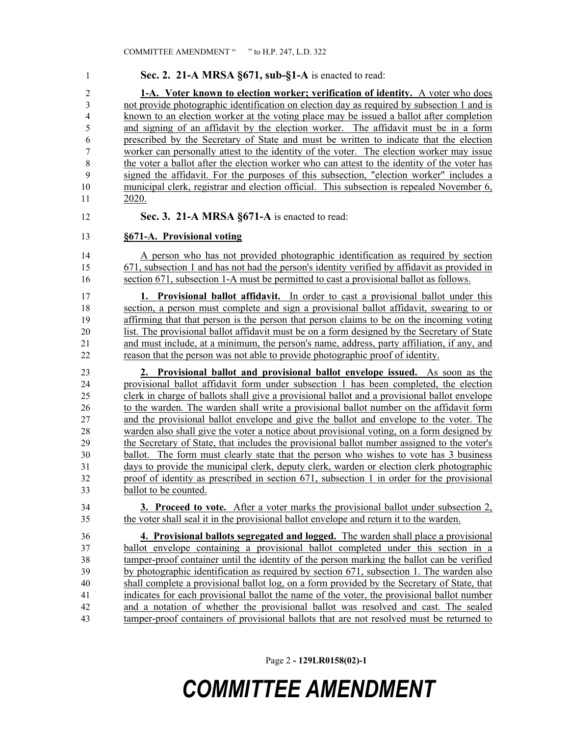| 1                | Sec. 2. 21-A MRSA §671, sub-§1-A is enacted to read:                                         |
|------------------|----------------------------------------------------------------------------------------------|
| $\overline{2}$   | 1-A. Voter known to election worker; verification of identity. A voter who does              |
| 3                | not provide photographic identification on election day as required by subsection 1 and is   |
| $\overline{4}$   | known to an election worker at the voting place may be issued a ballot after completion      |
| 5                | and signing of an affidavit by the election worker. The affidavit must be in a form          |
| 6                | prescribed by the Secretary of State and must be written to indicate that the election       |
| $\boldsymbol{7}$ | worker can personally attest to the identity of the voter. The election worker may issue     |
| $\,$ 8 $\,$      | the voter a ballot after the election worker who can attest to the identity of the voter has |
| 9                | signed the affidavit. For the purposes of this subsection, "election worker" includes a      |
| 10               | municipal clerk, registrar and election official. This subsection is repealed November 6,    |
| 11               | 2020.                                                                                        |
| 12               | Sec. 3. 21-A MRSA §671-A is enacted to read:                                                 |
| 13               | §671-A. Provisional voting                                                                   |
| 14               | A person who has not provided photographic identification as required by section             |
| 15               | 671, subsection 1 and has not had the person's identity verified by affidavit as provided in |
| 16               | section 671, subsection 1-A must be permitted to cast a provisional ballot as follows.       |
| 17               | <b>1. Provisional ballot affidavit.</b> In order to cast a provisional ballot under this     |
| 18               | section, a person must complete and sign a provisional ballot affidavit, swearing to or      |
| 19               | affirming that that person is the person that person claims to be on the incoming voting     |
| 20               | list. The provisional ballot affidavit must be on a form designed by the Secretary of State  |
| 21               | and must include, at a minimum, the person's name, address, party affiliation, if any, and   |
| 22               | reason that the person was not able to provide photographic proof of identity.               |
| 23               | 2. Provisional ballot and provisional ballot envelope issued. As soon as the                 |
| 24               | provisional ballot affidavit form under subsection 1 has been completed, the election        |
| 25               | clerk in charge of ballots shall give a provisional ballot and a provisional ballot envelope |
| 26               | to the warden. The warden shall write a provisional ballot number on the affidavit form      |
| 27               | and the provisional ballot envelope and give the ballot and envelope to the voter. The       |
| 28               | warden also shall give the voter a notice about provisional voting, on a form designed by    |
| 29               | the Secretary of State, that includes the provisional ballot number assigned to the voter's  |
| 30               | ballot. The form must clearly state that the person who wishes to vote has 3 business        |
| 31               | days to provide the municipal clerk, deputy clerk, warden or election clerk photographic     |
| 32               | proof of identity as prescribed in section 671, subsection 1 in order for the provisional    |
| 33               | ballot to be counted.                                                                        |
| 34               | 3. Proceed to vote. After a voter marks the provisional ballot under subsection 2,           |
| 35               | the voter shall seal it in the provisional ballot envelope and return it to the warden.      |
| 36               | 4. Provisional ballots segregated and logged. The warden shall place a provisional           |
| 37               | ballot envelope containing a provisional ballot completed under this section in a            |
| 38               | tamper-proof container until the identity of the person marking the ballot can be verified   |
| 39               | by photographic identification as required by section 671, subsection 1. The warden also     |
| 40               | shall complete a provisional ballot log, on a form provided by the Secretary of State, that  |
| 41               | indicates for each provisional ballot the name of the voter, the provisional ballot number   |
| 42               | and a notation of whether the provisional ballot was resolved and cast. The sealed           |
| 43               | tamper-proof containers of provisional ballots that are not resolved must be returned to     |

Page 2 **- 129LR0158(02)-1**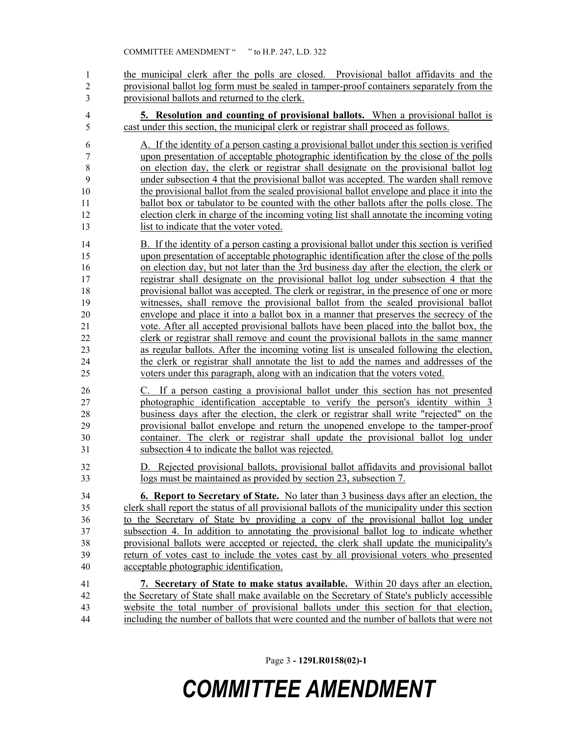1 the municipal clerk after the polls are closed. Provisional ballot affidavits and the provisional ballot log form must be sealed in tamper-proof containers separately from the provisional ballots and returned to the clerk.

 **5. Resolution and counting of provisional ballots.** When a provisional ballot is cast under this section, the municipal clerk or registrar shall proceed as follows.

 A. If the identity of a person casting a provisional ballot under this section is verified upon presentation of acceptable photographic identification by the close of the polls on election day, the clerk or registrar shall designate on the provisional ballot log under subsection 4 that the provisional ballot was accepted. The warden shall remove the provisional ballot from the sealed provisional ballot envelope and place it into the ballot box or tabulator to be counted with the other ballots after the polls close. The election clerk in charge of the incoming voting list shall annotate the incoming voting list to indicate that the voter voted.

 B. If the identity of a person casting a provisional ballot under this section is verified upon presentation of acceptable photographic identification after the close of the polls on election day, but not later than the 3rd business day after the election, the clerk or registrar shall designate on the provisional ballot log under subsection 4 that the provisional ballot was accepted. The clerk or registrar, in the presence of one or more witnesses, shall remove the provisional ballot from the sealed provisional ballot envelope and place it into a ballot box in a manner that preserves the secrecy of the vote. After all accepted provisional ballots have been placed into the ballot box, the clerk or registrar shall remove and count the provisional ballots in the same manner as regular ballots. After the incoming voting list is unsealed following the election, the clerk or registrar shall annotate the list to add the names and addresses of the voters under this paragraph, along with an indication that the voters voted.

 C. If a person casting a provisional ballot under this section has not presented photographic identification acceptable to verify the person's identity within 3 business days after the election, the clerk or registrar shall write "rejected" on the provisional ballot envelope and return the unopened envelope to the tamper-proof container. The clerk or registrar shall update the provisional ballot log under subsection 4 to indicate the ballot was rejected.

 D. Rejected provisional ballots, provisional ballot affidavits and provisional ballot logs must be maintained as provided by section 23, subsection 7.

 **6. Report to Secretary of State.** No later than 3 business days after an election, the clerk shall report the status of all provisional ballots of the municipality under this section to the Secretary of State by providing a copy of the provisional ballot log under subsection 4. In addition to annotating the provisional ballot log to indicate whether provisional ballots were accepted or rejected, the clerk shall update the municipality's return of votes cast to include the votes cast by all provisional voters who presented acceptable photographic identification.

 **7. Secretary of State to make status available.** Within 20 days after an election, the Secretary of State shall make available on the Secretary of State's publicly accessible website the total number of provisional ballots under this section for that election, including the number of ballots that were counted and the number of ballots that were not

Page 3 **- 129LR0158(02)-1**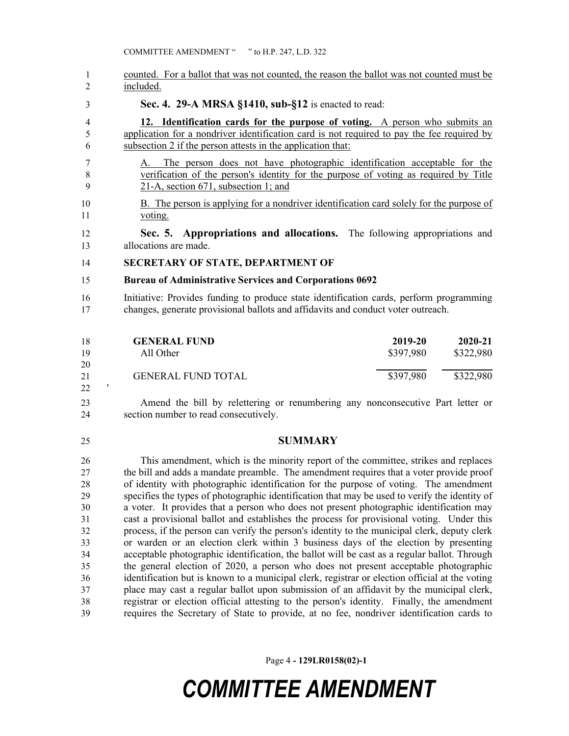COMMITTEE AMENDMENT " " to H.P. 247, L.D. 322

 counted. For a ballot that was not counted, the reason the ballot was not counted must be included.

**Sec. 4. 29-A MRSA §1410, sub-§12** is enacted to read:

 **12. Identification cards for the purpose of voting.** A person who submits an application for a nondriver identification card is not required to pay the fee required by subsection 2 if the person attests in the application that:

- A. The person does not have photographic identification acceptable for the verification of the person's identity for the purpose of voting as required by Title 21-A, section 671, subsection 1; and
- B. The person is applying for a nondriver identification card solely for the purpose of voting.

 **Sec. 5. Appropriations and allocations.** The following appropriations and allocations are made.

**SECRETARY OF STATE, DEPARTMENT OF** 

#### **Bureau of Administrative Services and Corporations 0692**

 Initiative: Provides funding to produce state identification cards, perform programming changes, generate provisional ballots and affidavits and conduct voter outreach.

| 18 | <b>GENERAL FUND</b>       | 2019-20   | 2020-21   |
|----|---------------------------|-----------|-----------|
| 19 | All Other                 | \$397,980 | \$322,980 |
| 20 |                           |           |           |
| 21 | <b>GENERAL FUND TOTAL</b> | \$397,980 | \$322,980 |
| 22 |                           |           |           |

 Amend the bill by relettering or renumbering any nonconsecutive Part letter or section number to read consecutively.

#### **SUMMARY**

 This amendment, which is the minority report of the committee, strikes and replaces the bill and adds a mandate preamble. The amendment requires that a voter provide proof of identity with photographic identification for the purpose of voting. The amendment specifies the types of photographic identification that may be used to verify the identity of a voter. It provides that a person who does not present photographic identification may cast a provisional ballot and establishes the process for provisional voting. Under this process, if the person can verify the person's identity to the municipal clerk, deputy clerk or warden or an election clerk within 3 business days of the election by presenting acceptable photographic identification, the ballot will be cast as a regular ballot. Through the general election of 2020, a person who does not present acceptable photographic identification but is known to a municipal clerk, registrar or election official at the voting place may cast a regular ballot upon submission of an affidavit by the municipal clerk, registrar or election official attesting to the person's identity. Finally, the amendment requires the Secretary of State to provide, at no fee, nondriver identification cards to

Page 4 **- 129LR0158(02)-1**